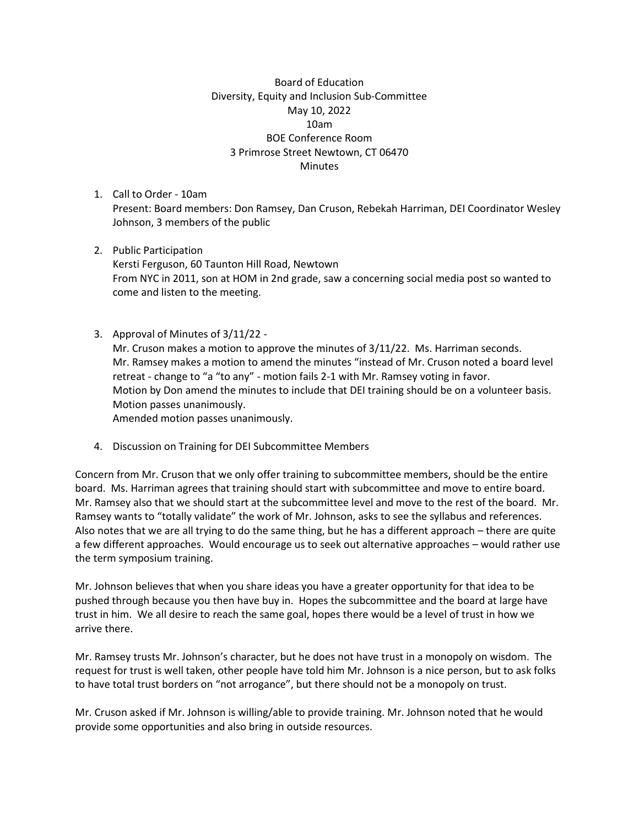Board of Education Diversity, Equity and Inclusion Sub-Committee May 10, 2022 10am BOE Conference Room 3 Primrose Street Newtown, CT 06470 **Minutes** 

- 1. Call to Order 10am Present: Board members: Don Ramsey, Dan Cruson, Rebekah Harriman, DEI Coordinator Wesley Johnson, 3 members of the public
- 2. Public Participation Kersti Ferguson, 60 Taunton Hill Road, Newtown From NYC in 2011, son at HOM in 2nd grade, saw a concerning social media post so wanted to come and listen to the meeting.
- 3. Approval of Minutes of 3/11/22 Mr. Cruson makes a motion to approve the minutes of 3/11/22. Ms. Harriman seconds. Mr. Ramsey makes a motion to amend the minutes "instead of Mr. Cruson noted a board level retreat - change to "a "to any" - motion fails 2-1 with Mr. Ramsey voting in favor. Motion by Don amend the minutes to include that DEI training should be on a volunteer basis. Motion passes unanimously. Amended motion passes unanimously.
- 4. Discussion on Training for DEI Subcommittee Members

Concern from Mr. Cruson that we only offer training to subcommittee members, should be the entire board. Ms. Harriman agrees that training should start with subcommittee and move to entire board. Mr. Ramsey also that we should start at the subcommittee level and move to the rest of the board. Mr. Ramsey wants to "totally validate" the work of Mr. Johnson, asks to see the syllabus and references. Also notes that we are all trying to do the same thing, but he has a different approach – there are quite a few different approaches. Would encourage us to seek out alternative approaches – would rather use the term symposium training.

Mr. Johnson believes that when you share ideas you have a greater opportunity for that idea to be pushed through because you then have buy in. Hopes the subcommittee and the board at large have trust in him. We all desire to reach the same goal, hopes there would be a level of trust in how we arrive there.

Mr. Ramsey trusts Mr. Johnson's character, but he does not have trust in a monopoly on wisdom. The request for trust is well taken, other people have told him Mr. Johnson is a nice person, but to ask folks to have total trust borders on "not arrogance", but there should not be a monopoly on trust.

Mr. Cruson asked if Mr. Johnson is willing/able to provide training. Mr. Johnson noted that he would provide some opportunities and also bring in outside resources.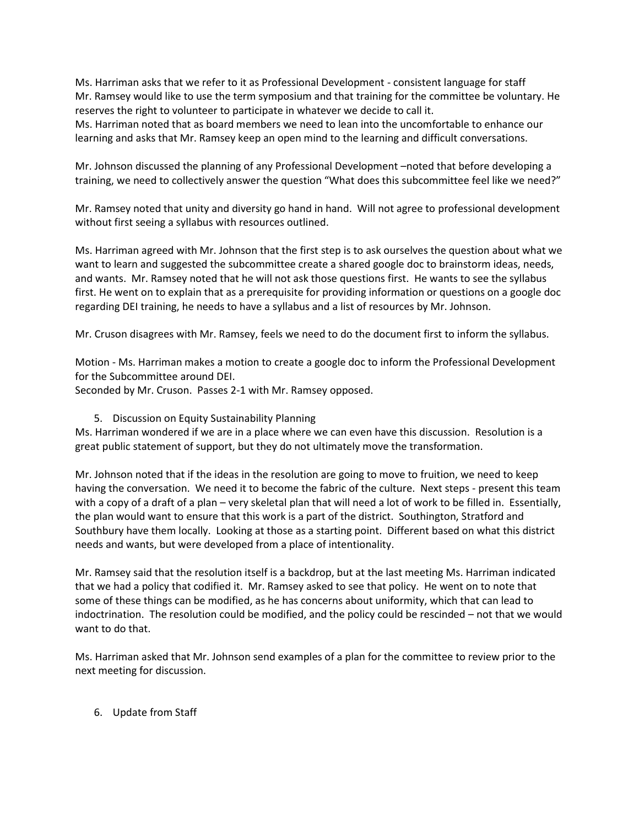Ms. Harriman asks that we refer to it as Professional Development - consistent language for staff Mr. Ramsey would like to use the term symposium and that training for the committee be voluntary. He reserves the right to volunteer to participate in whatever we decide to call it.

Ms. Harriman noted that as board members we need to lean into the uncomfortable to enhance our learning and asks that Mr. Ramsey keep an open mind to the learning and difficult conversations.

Mr. Johnson discussed the planning of any Professional Development –noted that before developing a training, we need to collectively answer the question "What does this subcommittee feel like we need?"

Mr. Ramsey noted that unity and diversity go hand in hand. Will not agree to professional development without first seeing a syllabus with resources outlined.

Ms. Harriman agreed with Mr. Johnson that the first step is to ask ourselves the question about what we want to learn and suggested the subcommittee create a shared google doc to brainstorm ideas, needs, and wants. Mr. Ramsey noted that he will not ask those questions first. He wants to see the syllabus first. He went on to explain that as a prerequisite for providing information or questions on a google doc regarding DEI training, he needs to have a syllabus and a list of resources by Mr. Johnson.

Mr. Cruson disagrees with Mr. Ramsey, feels we need to do the document first to inform the syllabus.

Motion - Ms. Harriman makes a motion to create a google doc to inform the Professional Development for the Subcommittee around DEI.

Seconded by Mr. Cruson. Passes 2-1 with Mr. Ramsey opposed.

## 5. Discussion on Equity Sustainability Planning

Ms. Harriman wondered if we are in a place where we can even have this discussion. Resolution is a great public statement of support, but they do not ultimately move the transformation.

Mr. Johnson noted that if the ideas in the resolution are going to move to fruition, we need to keep having the conversation. We need it to become the fabric of the culture. Next steps - present this team with a copy of a draft of a plan – very skeletal plan that will need a lot of work to be filled in. Essentially, the plan would want to ensure that this work is a part of the district. Southington, Stratford and Southbury have them locally. Looking at those as a starting point. Different based on what this district needs and wants, but were developed from a place of intentionality.

Mr. Ramsey said that the resolution itself is a backdrop, but at the last meeting Ms. Harriman indicated that we had a policy that codified it. Mr. Ramsey asked to see that policy. He went on to note that some of these things can be modified, as he has concerns about uniformity, which that can lead to indoctrination. The resolution could be modified, and the policy could be rescinded – not that we would want to do that.

Ms. Harriman asked that Mr. Johnson send examples of a plan for the committee to review prior to the next meeting for discussion.

## 6. Update from Staff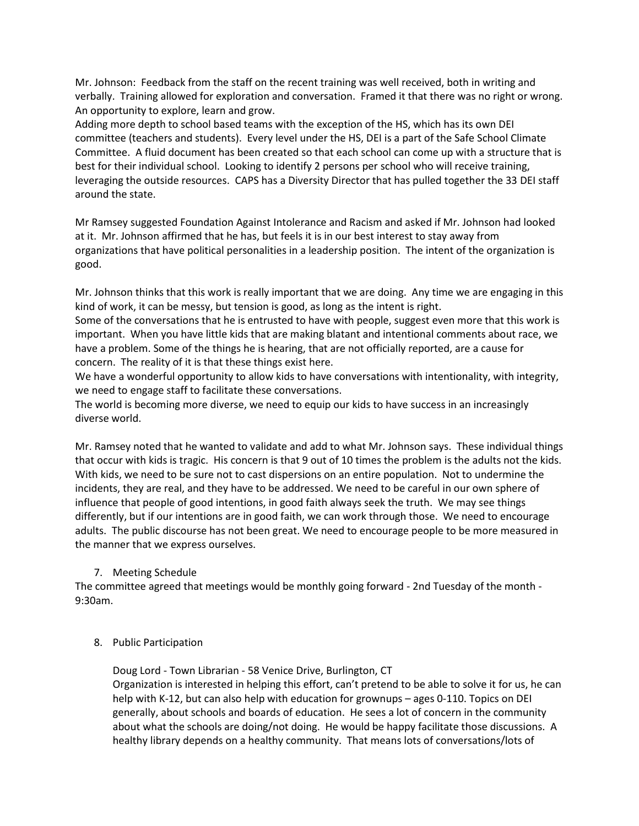Mr. Johnson: Feedback from the staff on the recent training was well received, both in writing and verbally. Training allowed for exploration and conversation. Framed it that there was no right or wrong. An opportunity to explore, learn and grow.

Adding more depth to school based teams with the exception of the HS, which has its own DEI committee (teachers and students). Every level under the HS, DEI is a part of the Safe School Climate Committee. A fluid document has been created so that each school can come up with a structure that is best for their individual school. Looking to identify 2 persons per school who will receive training, leveraging the outside resources. CAPS has a Diversity Director that has pulled together the 33 DEI staff around the state.

Mr Ramsey suggested Foundation Against Intolerance and Racism and asked if Mr. Johnson had looked at it. Mr. Johnson affirmed that he has, but feels it is in our best interest to stay away from organizations that have political personalities in a leadership position. The intent of the organization is good.

Mr. Johnson thinks that this work is really important that we are doing. Any time we are engaging in this kind of work, it can be messy, but tension is good, as long as the intent is right.

Some of the conversations that he is entrusted to have with people, suggest even more that this work is important. When you have little kids that are making blatant and intentional comments about race, we have a problem. Some of the things he is hearing, that are not officially reported, are a cause for concern. The reality of it is that these things exist here.

We have a wonderful opportunity to allow kids to have conversations with intentionality, with integrity, we need to engage staff to facilitate these conversations.

The world is becoming more diverse, we need to equip our kids to have success in an increasingly diverse world.

Mr. Ramsey noted that he wanted to validate and add to what Mr. Johnson says. These individual things that occur with kids is tragic. His concern is that 9 out of 10 times the problem is the adults not the kids. With kids, we need to be sure not to cast dispersions on an entire population. Not to undermine the incidents, they are real, and they have to be addressed. We need to be careful in our own sphere of influence that people of good intentions, in good faith always seek the truth. We may see things differently, but if our intentions are in good faith, we can work through those. We need to encourage adults. The public discourse has not been great. We need to encourage people to be more measured in the manner that we express ourselves.

## 7. Meeting Schedule

The committee agreed that meetings would be monthly going forward - 2nd Tuesday of the month - 9:30am.

## 8. Public Participation

Doug Lord - Town Librarian - 58 Venice Drive, Burlington, CT

Organization is interested in helping this effort, can't pretend to be able to solve it for us, he can help with K-12, but can also help with education for grownups – ages 0-110. Topics on DEI generally, about schools and boards of education. He sees a lot of concern in the community about what the schools are doing/not doing. He would be happy facilitate those discussions. A healthy library depends on a healthy community. That means lots of conversations/lots of